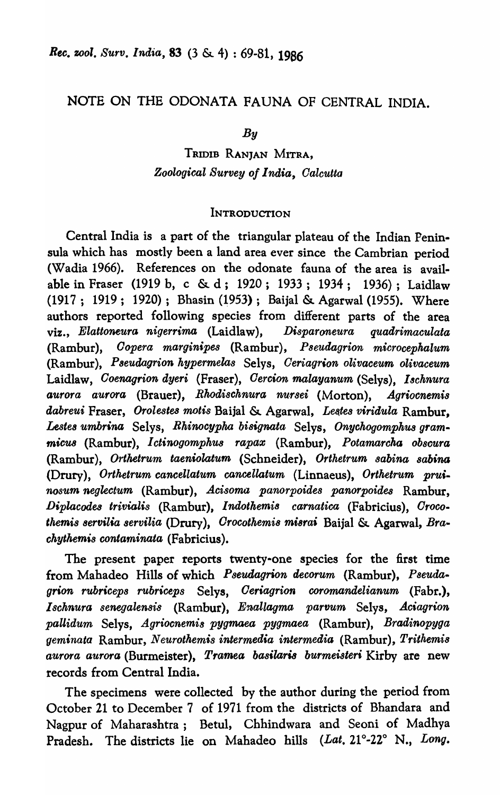# NOTE ON THE ODONATA FAUNA OF CENTRAL INDIA.

*By* 

# TRIDIB RANJAN MITRA, *Zoological Survey of India, Oalcutta*

# **INTRODUCTION**

Central India is a part of the triangular plateau of the Indian Peninsula which has mostly been a land area ever since the Cambrian period (Wadia 1966). References on the odonate fauna of the area is available in Fraser (1919 b, c & d; 1920; 1933; 1934; 1936); Laidlaw (1917; 1919; 1920); Bhasin (1953); Baijal & Agarwal (1955). Where authors reported following species from different parts of the area viz., *Elattoneura nigerrima* (Laidlaw), *Disparoneura quadrimaculata*  (Rambur), *Oopera marginipes* (Rambur), *Pseudagrion microcephalum*  (Rambur), *Pseudagrion kypermelas* Selys, *Oeriagrion olivaceum olivaceum*  Laidlaw, *Ooenagrion dyeri* (Fraser), *Oercion malayanum* (Selys), *18chnura aurora aurora* (Brauer), *Rhodischnura nu·rsei* (Morton), *AgrioGnemis dabreui* Fraser, *Orolestes motis* Baijal & Agarwal, *Les.tes viridula* Rambur, *£estes umbrina* Selys, *Rkinocypha bisignata* Selys, *Onychogompkus grammieUB* (Rambur), *Ictinogompkus rapaz* (Rambur), *Potamarcka obscura*  (Ram bur ), *Ortketrum taeniolatum* (Schneider), *Orthetrum sabina 8abina*  (Drury), *Orthetrum cancellatum cancellatum* (Linnaeus), *Orthetrum pruin08um neglectum* (Rambur), *Acisoma panorpoides panorpoides* Rambur, *Diplacodea trivialis* (Rambur), *lndotkemis carnatica* (Fabricius), *Oroco- '",emis servilia servilia* (Drury), *Orocotkemi8 misra;* Baijal &. Agarwal, *Bra .. ckytkemis oontaminata* (Fabricius).

The present paper reports twenty·one species for the first time from Mahadeo Hills of which *Pseudagrion decorum* (Rambur), *Pseuda.*  grion rubriceps rubriceps Selys, *Ceriagrion coromandelianum* (Fabr.), *Ischnura 8enegalensis* (Rambur), *Enallagma partJum* Selys, *Aciagrion paUidum* Selys, *Agriocnemis pygmaea pygmaea* (Rambur), *Bradinopyga geminata* Rambur, *Neurothemis intermedia intermedia* (Rambur), *Trithemis aurora aurora* (Burmeister), *Tramea basilaris burmeisteri* Kirby are new records from Central India.

The specimens were collected by the author during the period from October 21 to December 7 of 1971 from the districts of Bhandara and Nagpur of Maharashtra; Betul, Chhindwara and Seoni of Madhya Pradesh. The districts lie on Mahadeo hills *(Lat. 21°-22°* N., *Long.*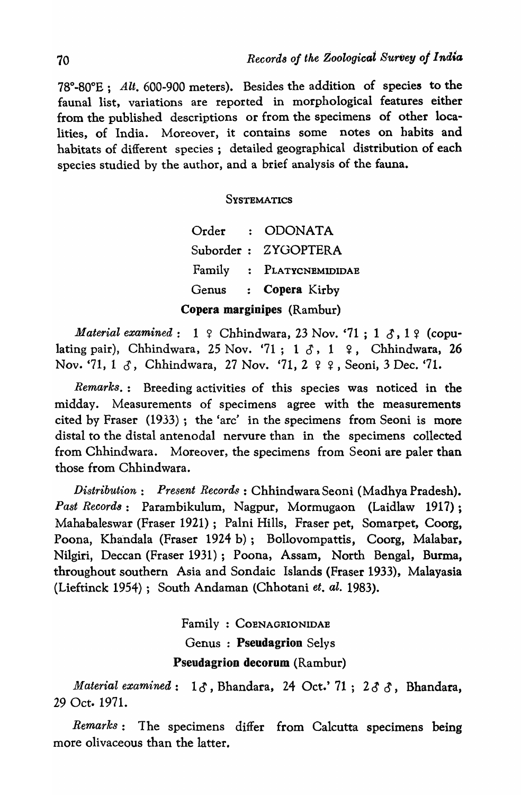$78^{\circ}\text{-}80^{\circ}E$ ; Alt. 600-900 meters). Besides the addition of species to the faunal list, variations are reported in morphological features either from the published descriptions or from the specimens of other localities, of India. Moreover, it contains some notes on habits and habitats of different species; detailed geographical distribution of each species studied by the author, and a brief analysis of the fauna.

#### **SYSTEMATICS**

Order : ODONATA Suborder: ZYGOPTERA Family : PLATYCNEMIDIDAE Genus : Copera Kirby Copera marginipes (Rambur)

*Material examined*:  $1 \notin \text{Chhindwara, 23 Nov. '71 ; 1 3, 1 9 (copu$ lating pair), Chhindwara, 25 Nov. '71; 1 3, 1 º, Chhindwara, 26 Nov. '71, 1  $\delta$ , Chhindwara, 27 Nov. '71, 2  $\varphi$   $\varphi$ , Seoni, 3 Dec. '71.

*Remarks.:* Breeding activities of this species was noticed in the midday. Measurements of specimens agree with the measurements cited by Fraser (1933); the 'arc' in the specimens from Seoni is more distal to the distal antenodal nervure than in the specimens collected from Chhindwara. Moreover, the specimens from Seoni are paler than those from Chhindwara.

*Distribution: Present Records: Chhindwara Seoni (Madhya Pradesh). Past Record8:* Parambikulum, Nagpur, Mormugaon (Laidlaw 1917); Mahabaleswar (Fraser 1921); Palni Hills, Fraser pet, Somarpet, Coorg, Poona, Khandala (Fraser 1924 b); Bollovompattis, Coorg, Malabar, Nilgiri, Deccan (Fraser 1931); Poona, Assam, North Bengal, Burma, throughout southern Asia and Sondaic Islands (Fraser 1933), Malayasia (Lieftinck 1954); South Andaman (Chhotani *et. al.* 1983).

> Family: COENAGRIONIDAE Genus: Pseudagrion Selys Pseudagrion decorum (Rambur)

*Material examined*:  $1\delta$ , Bhandara, 24 Oct.' 71; 23  $\delta$ , Bhandara, 29 Oct. 1971.

*Remarks:* The specimens differ from Calcutta specimens being more olivaceous than the latter.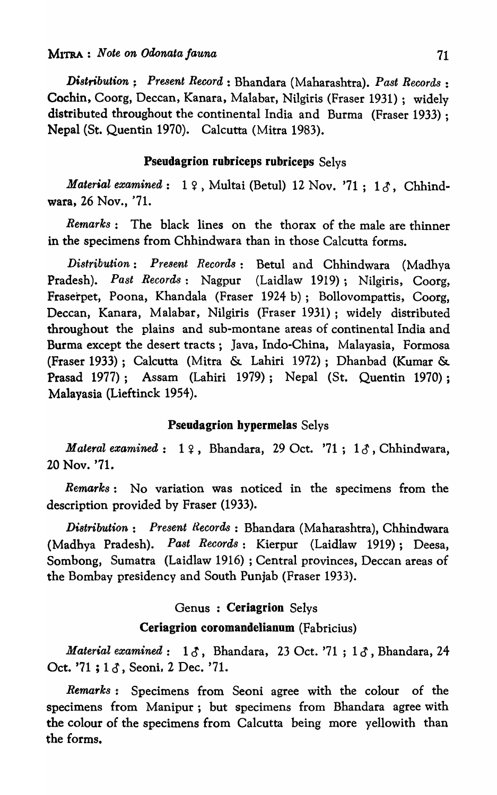*Distribution; Present Record,* : Bhandara (Maharashtra). *Past Records:*  Cochin, Coorg, Deccan, Kanara, Malabar, Nilgiris (Fraser 1931); widely distributed throughout the continental India and Burma (Fraser 1933) ; Nepal (St. Quentin 1970). Calcutta (Mitra 1983).

# Pseudagrion rubriceps rubriceps Selys

*Material examined*: 19, Multai (Betul) 12 Nov. '71; 13, Chhindwara, 26 Nov., '71.

*Remarks:* The black lines on the thorax of the male are thinner in the specimens from Chhindwara than in those Calcutta forms.

*Distribution: Present Records:* Betul and Chhindwara (Madhya Pradesh). *Past Records:* Nagpur (Laidlaw 1919); Nilgiris, Coorg, Fraserpet, Poona, Khandala (Fraser 1924 b); Bollovompattis, Coorg, Deccan, Kanara, Malabar, Nilgiris (Fraser 1931); widely distributed throughout the plains and sub-montane areas of continental India and Burma except the desert tracts; Java, Indo-China, Malayasia, Formosa (Fraser 1933); Calcutta (Mitra & Lahiri 1972); Dhanbad (Kumar & Prasad 1977); Assam (Lahiri 1979); Nepal (St. Quentin 1970); Malayasia (Lieftinck 1954).

# Pseudagrion hypermelas Selys

*Materal examined*:  $1 \nsubseteq$ , Bhandara, 29 Oct. '71;  $1 \nsubseteq$ , Chhindwara, 20 Nov. '71.

*Remarks:* No variation was noticed in the specimens from the description provided by Fraser (1933).

*Distribution: Present Records* : Bhandara (Maharashtra), Chhindwara (Madhya Pradesh). *Past Records:* Kierpur (Laidlaw 1919); Deesa, Sombong, Sumatra (Laidlaw 1916) ; Central provinces, Deccan areas of the Bombay presidency and South Punjab (Fraser 1933).

# Genus : Ceriagrion Selys

# Ceriagrion coromandelianum (Fabricius)

*Material examined*:  $1 \delta$ , Bhandara, 23 Oct. '71;  $1 \delta$ , Bhandara, 24 Oct. '71; 13, Seoni, 2 Dec. '71.

*Remarks:* Specimens from Seoni agree with the colour of the specimens from Manipur; but specimens from Bhandara agree with the colour of the specimens from Calcutta being more yellowith than the forms.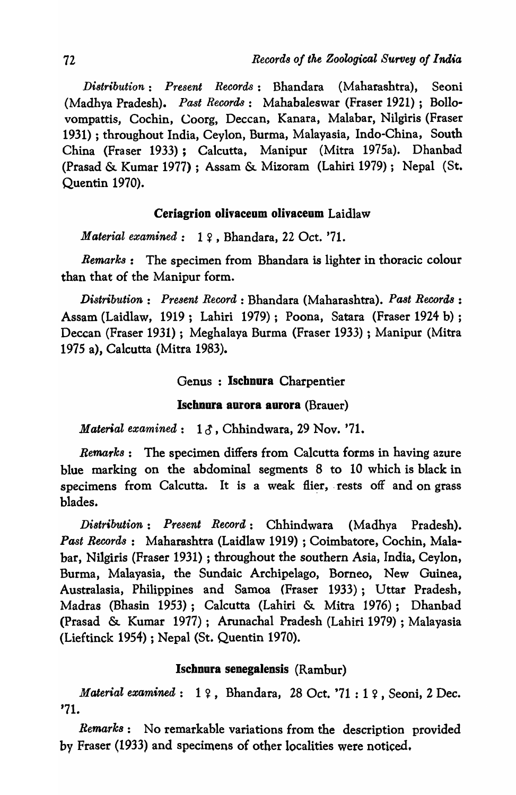*Distribution: Present Records:* Bhandara (Maharashtra), Seoni (Madhya Pradesh). *Past Records:* Mahabaleswar (Fraser 1921); Bollovompattis, Cochin, Coorg, Deccan, Kanara, Malabar, Nilgiris (Fraser 1931) ; throughout India, Ceylon, Burma, Malayasia, Indo-China, South China (Fraser 1933); Calcutta, Manipur (Mitra 1975a). Dhanbad (Prasad & Kumar 1977) ; Assam & Mizoram (Lahiri 1979); Nepal (St. Quentin 1970).

# Ceriagrion olivaceum olivaceum Laidlaw

*Material examined:* 1 ?, Bhandara, 22 Oct. '71.

*Remarks:* The specimen from Bhandara is lighter in thoracic colour than that of the Manipur form.

*Distribution: Present Record:* Bhandara (Maharashtra). *Past Records* : Assam (Laidlaw, 1919; Lahiri 1979); Poona, Satara (Fraser 1924 b) ; Deccan (Fraser 1931); Meghalaya Burma (Fraser 1933) ; Manipur (Mitra 1975 a), Calcutta (Mitra 1983).

# Genus : Ischnura Charpentier

#### Ischoura aurora aurora (Brauer)

*Material examined:* 10, Chhindwara, 29 Nov. '71.

*Remarks:* The specimen differs from Calcutta forms in having azure blue marking on the abdominal segments 8 to 10 which is black in specimens from Calcutta. It is a weak flier, rests off and on grass blades.

*Distribution: Present Record:* Chhindwara (Madhya Pradesh). *Past Records:* Maharashtra (Laidlaw 1919) ; Coimbatore, Cochin, Malabar, Nilgiris (Fraser 1931) ; throughout the southern Asia, India, Ceylon, Burma, Malayasia, the Sundaic Archipelago, Borneo, New Guinea, Australasia, Philippines and Samoa (Fraser 1933); Uttar Pradesh, Madras (Bhasin 1953); Calcutta (Lahiri & Mitra 1976); Dhanbad (Prasad & Kumar 1917); Arunachal Pradesh (Lahiti 1979) ; Malayasia (Lieftinck 1954) ; Nepal (St. Quentin 1970).

# Ischnura senegalensis (Rambur)

*Material examined*: 19, Bhandara, 28 Oct. '71:19, Seoni, 2 Dec. '71.

*Remark8:* No remarkable variations from the description provided bV Fraser (1933) and specimens of other localities were noticed.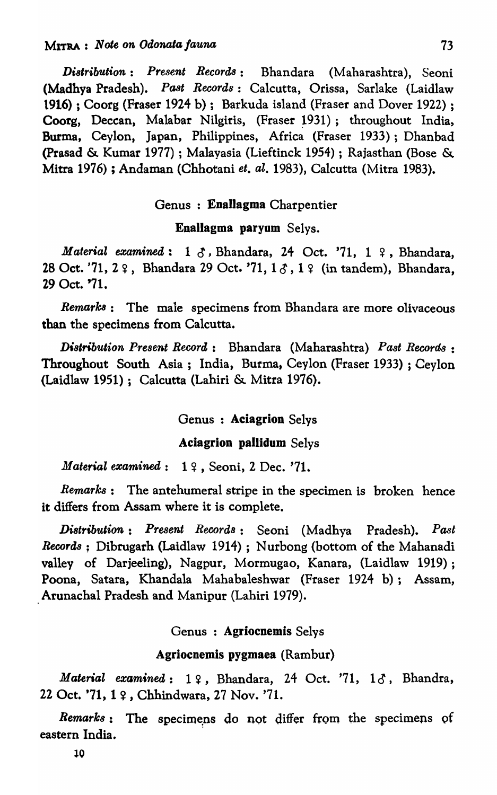*Di8tribution: Present Records:* Bhandara (Maharashtra), Seoni (Madhya Pradesh). *Past Records:* Calcutta, Orissa, Sarlake (Laidlaw 1916) ; Coorg (Fraser 1924 b); Barkuda island (Fraser and Dover 1922) ; Coorg, Deccan, Malabar Nilgiris, (Fraser 1931); throughout India, Burma, Ceylon, Japan, Philippines, Africa (Fraser 1933); Dhanbad (prasad & Kumar 1977) ; Malayasia (Lieftinck 1954) ; Rajasthan (Bose & Mitra 1976) ; Andaman (Chhotani *et. al.* 1983), Calcutta (Mitra 1983).

# Genus : Enallagma Charpentier

# Enallagma paryum Selys.

*Material examined:* 1  $\delta$ , Bhandara, 24 Oct. '71, 1  $\epsilon$ , Bhandara, 28 Oct. '71, 2  $9$ , Bhandara 29 Oct. '71, 1  $3$ , 1  $9$  (in tandem), Bhandara, 29 Oct. '71.

*Remarlc8:* The male specimens from Bhandara are more olivaceous than the specimens from Calcutta.

*Dislribution Present Record,:* Bhandara (Maharashtra) *Past Records:*  Throughout South Asia; India, Burma, Ceylon (Fraser 1933) ; Ceylon (Laidlaw 1951); Calcutta (Lahiri & Mitra 1976).

# Genus : Aciagrion Selys

# Aciagrion pallidum Selys

*Material examined*: 19, Seoni, 2 Dec. '71.

*Remarks:* The antehumeral stripe in the specimen is broken hence it differs from Assam where it is complete.

*Di8tribulion: Present Record8:* Seoni (Madhya Pradesh). *Past Records;* Dibrugarh (Laidlaw 1914) ; Nurbong (bottom of the Mahanadi valley of Darjeeling), Nagpur, Mormugao, Kanara, (Laidlaw 1919); Poona, Satara, Khandala Mahabaleshwar (Fraser 1924 b); Assam, Arunachal Pradesh and Manipur (Lahiri 1979).

# Genus : Agriocnemis Selys

# Agriocnemis pygmaea (Rambur)

*Material examined*: 19, Bhandara, 24 Oct. '71, 18, Bhandra, 22 Oct. '71, 1  $\varphi$ , Chhindwara, 27 Nov. '71.

Remarks: The specimens do not differ from the specimens of eastern India.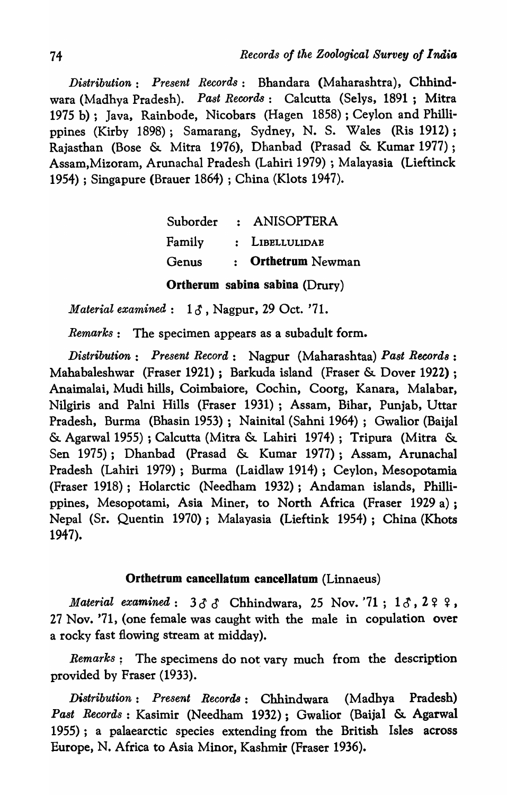*Distribution: Present Records:* Bhandara (Maharashtra), Chhindwara (Madhya Pradesh). *Past Records:* Calcutta (Selys, 1891; Mitra 1975 b); Java, Rainbode, Nicobars (Hagen 1858); Ceylon and Phillippines (Kirby 1898); Samarang, Sydney, N. S. Wales (Ris 1912) ; Rajasthan (Bose & Mitra 1976), Dhanbad (Prasad & Kumar 1977) ; Assam,Mizoram, Arunachal Pradesh (Lahiri 1979) ; Malayasia (Lieftinck 1954) ; Singapure (Brauer 1864) ; China (Klots 1947).

|        | Suborder : ANISOPTERA |
|--------|-----------------------|
| Family | : LIBELLULIDAE        |
| Genus  | : Orthetrum Newman    |
|        |                       |

Ortherum sabina sabina (Drury)

*Material examined:* 13, Nagpur, 29 Oct. '71.

*Remarks:* The specimen appears as a subadult form.

*Distribution: Present Record:* Nagpur (Maharashtaa) *Past Record8 :*  Mahabaleshwar (Fraser 1921); Barkuda island (Fraser & Dover 1922) ; Anaimalai, Mudi hills, Coimbaiore, Cochin, Coorg, Kanara, Malabar, Nilgiris and Palni Hills (Fraser 1931); Assam, Bihar, Punjab, Uttar Pradesh, Burma (Bhasin 1953); Nainital (Sahni 1964); Gwalior (Baijal & Agarwal 1955) ; Calcutta (Mitra & Lahiri 1974); Tripura (Mitra & Sen 1975); Dhanbad (Prasad & Kumar 1977); Assam, Arunachal Pradesh (Lahiri 1979); Burma (Laidlaw 1914); Ceylon, Mesopotamia (Fraser 1918); Holarctic (Needham 1932); Andaman islands, Phillippines, Mesopotami, Asia Miner, to North Africa (Fraser 1929 a) ; Nepal (Sr. Quentin 1970); Malayasia (Lieftink 1954); China (Khots 1947).

# Orthetrum cancellatum cancellatum (Linnaeus)

*Material examined:*  $3\delta \delta$  Chhindwara, 25 Nov. '71;  $1\delta$ ,  $299$ , 27 Nov. '71, (one female was caught with the male in copulation over a rocky fast flowing stream at midday).

*Remarks*: The specimens do not vary much from the description provided by Fraser (1933).

*Distribution: Present Records:* Chhindwara (Madhya Pradesh) *Past Records:* Kasimir (Needham 1932); Gwalior (Baijal & Agarwal 1955); a palaearctic species extending from the British Isles across Europe, N. Africa to Asia Minor, Kashmir (Fraser 1936).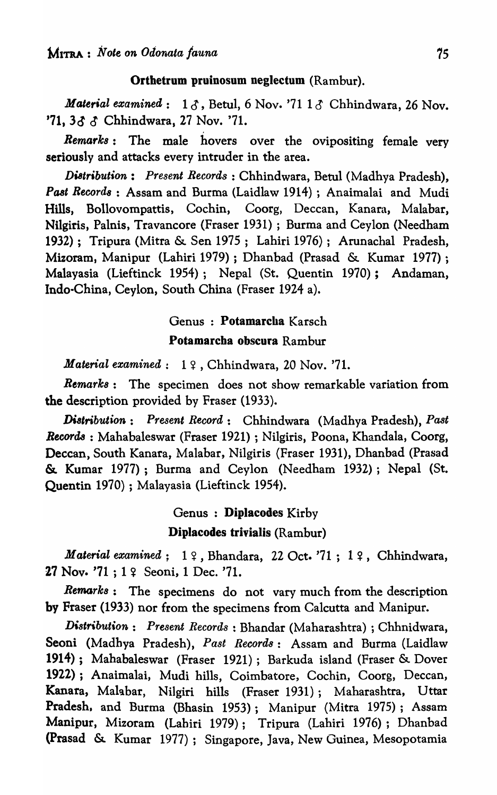#### Orthetrum pruinosum neglectum (Rambur).

*Material examined*:  $1 \delta$ , Betul, 6 Nov. '71  $1 \delta$  Chhindwara, 26 Nov.  $'71, 33 \text{ }\mathcal{S}$  Chhindwara, 27 Nov. '71.

*Remarks:* The male hovers over the ovipositing female very seriously and attacks every intruder in the area.

*Distribution: Present Records:* Chhindwara, Betul (Madhya Pradesh), *Past Reoord8* : Assam and Burma (Laidlaw 1914) ; Anaimalai and Mudi Hills, Bollovompattis, Cochin, Coorg, Deccan, Kanara, Malabar, Nilgiris, Palnis, Travancore (Fraser 1931) ; Burma and Ceylon (Needham 1932); Tripura (Mitra & Sen 1975; Lahiri 1976); Arunachal Pradesh, Mizoram, Manipur (Lahiri 1979) ; Dhanbad (Prasad & Kumar 1977); Malayasia (Lieftinck 1954); Nepal (St. Quentin 1970); Andaman, Indo-China, Ceylon, South China (Fraser 1924 a).

# Genus : Potamarcha Karsch

# Potamarcba obscura Rambur

*Material examined*: 19, Chhindwara, 20 Nov. '71.

*Remarks:* The specimen does not show remarkable variation from the description provided by Fraser (1933).

*Di8tribution: Present Record:* Chhindwara (Madhya Pradesh), *Past Records:* Mahabaleswar (Fraser 1921) ; Nilgiris, Poona, Khandala, Coorg, Deccan, South Kanara, Malabar, Nilgiris (Fraser 1931), Dhanbad (Prasad &. Kumar 1977); Burma and Ceylon (Needham 1932); Nepal *(St.*  Quentin 1970) ; Malayasia (Lieftinck 1954).

# Genus : DipJacodes Kirby Diplacodes trivialis (Rambur)

*Material examined*: 19, Bhandara, 22 Oct. '71; 19, Chhindwara, 27 Nov.  $'71$ ;  $1 \frac{9}{5}$  Seoni, 1 Dec.  $'71$ .

*Remark8:* The specimens do not vary much from the description by Fraser (1933) nor from the specimens from Calcutta and Manipur.

*Distribution: Present Records* : Bhandar (Maharashtra) ; Chhnidwara, Seoni (Madhya Pradesh), *Past Records:* Assam and Burma (Laidlaw 1914); Mahabaleswar (Fraser 1921); Barkuda island (Fraser & Dover 1922); AnaimaIai, Mudi hills, Coimbatore, Cochin, Coorg, Deccan, Kanara, Malabar, Nilgiri hills (Fraser 1931); Maharashtra, Uttar Pradesh. and Burma (Bhasin 1953); Manipur (Mitra 1975); Assam Manipur, Mizoram (Lahiri 1979); Tripura (Lahiri 1976); Dhanbad (Prasad & Kumar 1977); Singapore, Java, New Guinea, Mesopotamia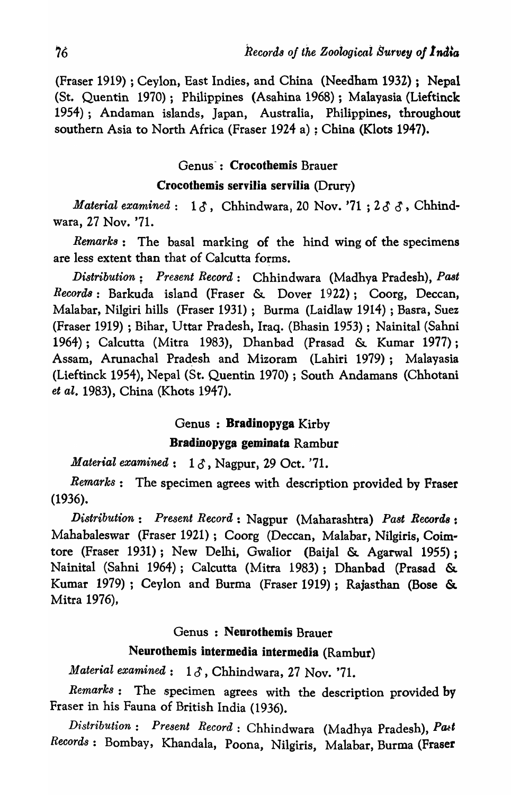(Fraser 1919) ; Ceylon, East Indies, and China (Needham 1932); Nepal (St. Quentin 1970); Philippines (Asahina 1968) ; Malayasia (Lieftinck 1954); Andaman islands, Japan, Australia, Philippines, throughout southern Asia to North Africa (Fraser 1924 a) ; China (Klots 1947).

# Genus: Crocothemis Brauer

# Crocothemis servilia servilia (Drury)

*Material examined*:  $1 \delta$ , Chhindwara, 20 Nov. '71; 2  $\delta$   $\delta$ , Chhindwara, 27 Nov. '71.

*Remark8:* The basal marking of the hind wing of the specimens are less extent than that of Calcutta forms.

*Distribution; Present Record:* Chhindwara (Madhya Pradesh), *Past Recorda:* Barkuda island (Fraser & Dover 1922); Coorg, Deccan, Malabar, Nilgiri hills (Fraser 1931); Burma (Laidlaw 1914) ; Basra, Suez (Fraser 1919) ; Bihar, Uttar Pradesh, Iraq. (Bhasin 1953) ; Nainital (Sahni 1964); Calcutta (Mitra 1983), Dhanbad (Prasad & Kumar 1977); Assam, Arunachal Pradesh and Mizoram (Lahiri 1979); Malayasia (Lieftinck 1954), Nepal (St. Quentin 1970) ; South Andamans (Chhotani *et al.* 1983), China (Khots 1947).

# Genus : Bradinopyga Kirby

# Bradinopyga geminata Rambur

*Material examined*: 13, Nagpur, 29 Oct. '71.

*Rernarks:* The specimen agrees with description provided by Fraser (1936).

*Distribution: Present Record:* Nagpur (Maharashtra) *Past Records:* Mahabaleswar (Fraser 1921); Coorg (Deccan, Malabar, Nilgiris, Coimtore (Fraser 1931); New Delhi, Gwalior (Baijal & Agarwal 1955); Nainital (Sahni 1964); Calcutta (Mitra 1983); Dhanbad (Prasad &. Kumar 1979); Ceylon and Burma (Fraser 1919); Rajasthan (Bose &. Mitra 1976),

# Genus: Neurothemis Brauer

# Neurothemis intermedia intermedia (Rambur)

*Material examined*:  $1 \delta$ , Chhindwara, 27 Nov. '71.

*Remark8:* The specimen agrees with the description provided by Fraser in his Fauna of British India (1936).

 $Distribution: Present Record: Chhindwara (Madhya Pradesh), Pat$ *Records:* Bombay, Khandala, Poona, Nilgiris, Malabar, Burma (Fraser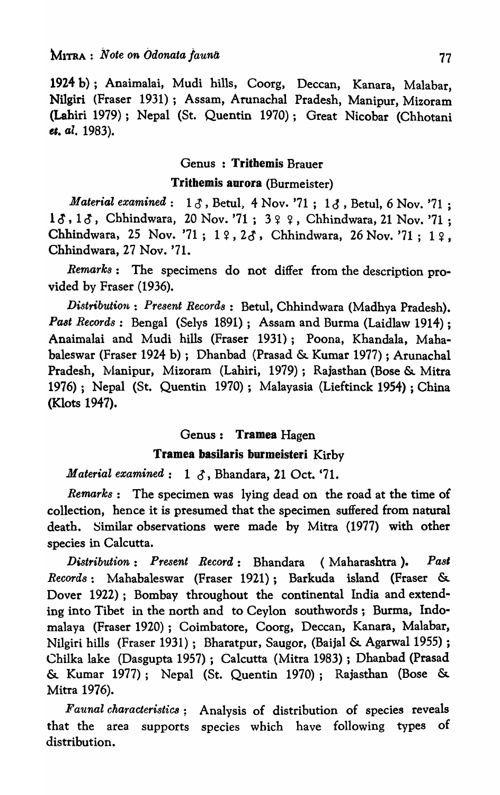1924 b); Anaimalai, Mudi hills, Coorg, Deccan, Kanara, Malabar, Nilgiri (Fraser 1931); Assam, Arunachal Pradesh, Manipur, Mizoram (Lahiri 1979); Nepal (St. Quentin 1970); Great Nicobar (Chhotani *<sup>B</sup>'. ale 1983).* 

## Genus : Tritbemis Brauer

# Trithemis aurora (Burmeister)

*Material examined*:  $1 \delta$ , Betul, 4 Nov. '71; 1 $\delta$ , Betul, 6 Nov. '71; 13, 13, Chhindwara, 20 Nov. '71; 3 ? ?, Chhindwara, 21 Nov. '71; Chhindwara, 25 Nov. '71;  $1 \cdot 1 \cdot 2 \cdot 3$ , Chhindwara, 26 Nov. '71;  $1 \cdot 2$ , Chhindwara, 27 Nov. '71.

*Remarks:* The specimens do not differ from the description provided by Fraser (1936).

*Distribution: Present Records: Betul, Chhindwara (Madhya Pradesh). Past Records*: Bengal (Selys 1891); Assam and Burma (Laidlaw 1914); Anaimalai and Mudi hills (Fraser 1931); Poona, Khandala, Mahabaleswar (Fraser 1924 b); Dhanbad (Prasad & Kumar 1977) ; Arunachal Pradesh, Manipur, Mizoram (Lahiri, 1979); Rajasthan (Bose & Mitra 1976); Nepal (St. Quentin 1970); Malayasia (Lieftinck 1954) ; China (Klots 1947).

#### Genus: Tramea Hagen

# Tramea basllaris burmeisteri Kirby

*Material examined*:  $1 \delta$ , Bhandara, 21 Oct. '71.

*Remarks:* The specimen was lying dead on the road at the time of collection, hence it is presumed that the specimen suffered from natural death. Similar observations were made by Mitra (1977) with other species in Calcutta.

*Distribution: Present Record:* Bhandara (Maharashtra ). *Pas' Records:* Mahabaleswar (Fraser 1921); Barkuda island (Fraser & Dover 1922); Bombay throughout the continental India and extending into Tibet in the north and to Ceylon southwords; Burma, Indomalaya (Fraser 1920); Coimbatore, Coorg, Deccan, Kanara, Malabar, Nilgiri hills (Fraser 1931); Bharatpur, Saugor, (Baijal & Agarwal 1955) ; Chilka lake (Dasgupta 1957); Calcutta (Mitra 1983) ; Dhanbad (Prasad & Kumar 1977); Nepal (St. Quentin 1970); Rajasthan (Bose & Mitra 1976).

*Faunal characteristics;* Analysis of distribution of species reveals that the area supports species which have following types of distribution.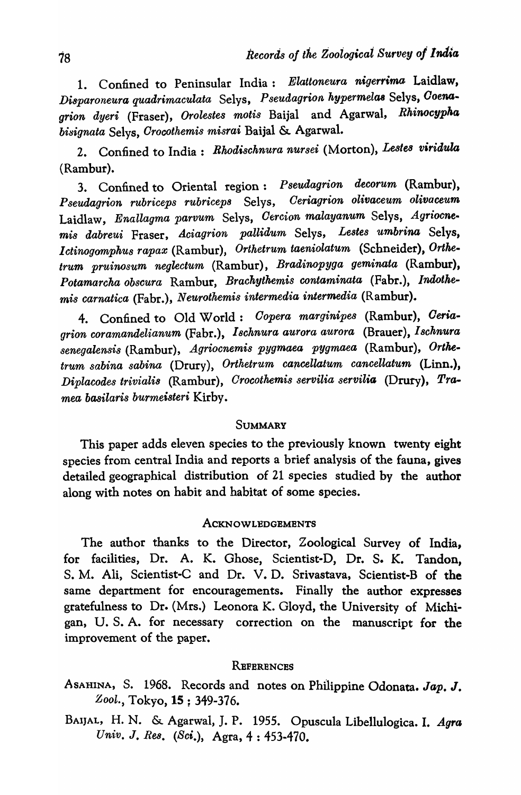1. Confined to Peninsular India: *Elattoneura nigerrima* Laidlaw, *Di8paroneura quadrimaculata* Selys, *Pseudagrion hypermelaa* Selys, *Ooena* $grio$ n dyeri (Fraser), *Orolestes motis* Baijal and Agarwal, *Rhinocypha bisignata* Selys, *Orocothemis misrai* Baijal & Agarwal.

2. Confined to India: *Rhodischnura nursei* (Morton), Lestes viridula (Rambur).

3. Confined to Oriental region: *Pseudagrion decorum* (Rambur),  $Pseudagrion$  rubriceps rubriceps Selys, Ceriagrion olivaceum olivaceum Laidlaw, *Enallagma parvum* Selys, *Oercion malayanum* Selys, *Agriocnemis dabreui* Fraser, *Aciagrion pallidum* Selys, *Lestes umbrina* Selys, *Ictinogomphus rapax* (Rambur), Orthetrum taeniolatum (Schneider), Orthe*trum pruino8um neglectum* (Rambur), *Bradinopyga geminata* (Rambur), *Potamarcha obscura* Rambur, *Brackythemis contaminata* (Fabr.), *Indotkemis carnatica* (Fabr.), *Neurothemis intermedia intermedia* (Rambur).

4. Confined to Old World: *Oopera marginipes* (Rambur), *Oeria*grion coramandelianum (Fabr.), *Ischnura aurora aurora* (Brauer), Ischnura *senegalensis* (Rambur), *Agriocnemis pygmaea pygmaea* (Rambur), *Ortketrum sabina sabina* (Drury), *Orthetrum cancellatum cancellatum* (Linn.), *Diplacodes triviali8* (Rambur), *Orocothemis servilia servilia* (Drury), *Pramea basilaris burmeisteri* Kirby.

# **SUMMARY**

This paper adds eleven species to the previously known twenty eight species from central India and reports a brief analysis of the fauna, gives detailed geographical distribution of 21 species studied by the author along with notes on habit and habitat of some species.

# **ACKNOWLEDGEMENTS**

The author thanks to the Director, Zoological Survey of India, for facilities, Dr. A. K. Ghose, Scientist-D, Dr. S. K. Tandon, S. M. Ali, Scientist-C and Dr. V. D. Srivastava, Scientist-B of the same department for encouragements. Finally the author expresses gratefulness to Dr. (Mrs.) Leonora K. Gloyd, the University of Michigan, U. S. A. for necessary correction on the manuscript for the improvement of the paper.

#### **REFERENCES**

ASAHINA, S. 1968. Records and notes on Philippine Odonata. *Jap.* J. *Zool.,* Tokyo, 15 ; 349-376.

BAIJAL, H. N. & Agarwal, J. P. 1955. Opuscula Libellulogica. I. *Agra*  Univ. J. Res. (Sci.), Agra, 4: 453-470.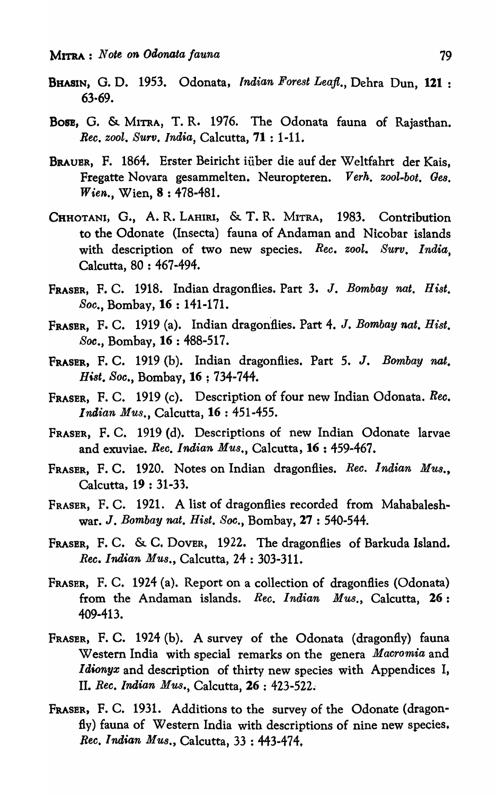- BHASIN, G. D. 1953. Odonata, *Indian Forest Leafl.,* Dehra Dun, 121 : 63·69.
- Bose, G. & MITRA, T. R. 1976. The Odonata fauna of Rajasthan. *Rec. zool. Surv. India, Calcutta, 71:1-11.*
- BRAUER, F. 1864. Erster Beiricht iiiber die auf der Wcltfahrt der Kais, Fregatte Novara gesammelten. Neuropteren. *Verk. zool-bot. Ges. Wien.,* Wien, 8 : 478-481.
- CHHOTANI, G., A. R. LAHIRI, & T. R. MITRA, 1983. Contribution to the Odonate (Insecta) fauna of Andaman and Nicobar islands with description of two new species. *Ree. zool. Surv. India,*  Calcutta, 80 : 467-494.
- FRASER, F. C. 1918. Indian dragonflies. Part 3. J. *Bombay nat. Hist. Soc.,* Bombay, 16 : 141-171.
- FRASBR, F. C. 1919 (a). Indian dragonflies. Part 4. J. *Bombay nat. Hist. Soc.,* Bombay, 16 : 488-517.
- FRASER, F. C. 1919 (b). Indian dragonflies. Part 5. J. *Bombay nat. Ht,st. Soc.,* Bombay, 16 ; 734-744.
- FRASER, F. C. 1919 (c). Description of four new Indian Odonata. *Ree. Indian Mus.,* Calcutta, 16 : 451-455.
- FRASER, F. C. 1919 (d). Descriptions of new Indian Odonate larvae and exuviae. *Ree. Indian Mus.,* Calcutta, 16 : 459-467.
- FRASER, F. C. 1920. Notes on Indian dragonflies. *Ree. Indian Mus.,*  Calcutta, 19 : 31-33.
- FRASER, F. C. 1921. A list of dragonflies recorded from Mahabaleshwar. J. *Bombay nat. Hist. Soc.,* Bombay, 27 : 540-544.
- FRASER, F. C. & C. DOVER, 1922. The dragonflies of Barkuda Island. *Ree. Indian Mus.,* Calcutta, 24 : 303-311.
- FRASER, F. C. 1924 (a). Report on a collection of dragonflies (Odonata) from the Andaman islands. *Ree. Indian Mus.,* Calcutta, 26: 409-413.
- FRASER, F. C. 1924 (b). A survey of the Odonata (dragonfly) fauna Western India with special remarks on the genera *Maeromia* and *Idionyx* and description of thirty new species with Appendices I, II. *Ree. Indian Mus.,* Calcutta, 26 : 423-522.
- FRASER, F. C. 1931. Additions to the survey of the Odonate (dragonfly) fauna of Western India with descriptions of nine new species. *Ree. Indian Mus.,* Calcutta, 33 : 443-474.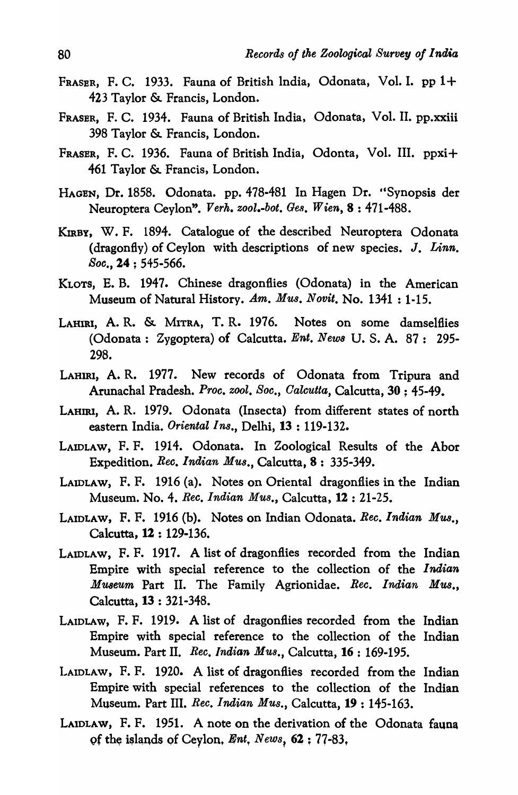- FRASER, F. C. 1933. Fauna of British India, Odonata, Vol. I. pp 1+ 423 Taylor &. Francis, London.
- FRASER, F. C. 1934. Fauna of British India, Odonata, Vol. II. pp.xxiii 398 Taylor & Francis, London.
- FRASER, F. C. 1936. Fauna of British India, Odonta, Vol. III. ppxi+ 461 Taylor & Francis, London.
- HAGEN, Dr. 1858. Odonata. pp. 478-481 In Hagen Dr. "Synopsis der Neuroptera Ceylon". *Verk. zool.-bot. Gell.* W *ien,* 8 : 471-488.
- KIRBY, W. F. 1894. Catalogue of the described Neuroptera Odonata (dragonfly) of Ceylon with descriptions of new species. J. *Linn. Soc.,* 24 ; 545-566.
- KLOTS, E. B. 1947. Chinese dragonflies (Odonata) in the American Museum of Natural History. *Am. Mus. Novit.* No. 1341 : 1-15.
- LAHIRI, A. R. &. MITRA, T. R. 1976. Notes on some damselflies (Odonata: Zygoptera) of Calcutta. *Ent. News* U.S.A. 87: 295-298.
- LAHIRI, A.R. 1977. New records of Odonata from Tripura and Arunachal Pradesh. *Proc. zool. Soc., Oalcutta,* Calcutta, 30 ; 45-49.
- LAHIRI, A. R. 1979. Odonata (Insecta) from different states of north eastern India. *Oriental Ins.,* Delhi, 13 : 119-132.
- LAIDLAW, F. F. 1914. Odonata. In Zoological Results of the Abor Expedition. *Rec. Indian Mus.,* Calcutta, 8 : 335-349.
- LAIDLAW, F. F. 1916 (a). Notes on Oriental dragonflies in the Indian Museum. No.4. *Rec. Indian MU8.,* Calcutta, 12 : 21-25.
- LAIDLAW, F. F. 1916 (b). Notes on Indian Odonata. *Rec. Indian Mus.,*  Calcutta, 12 : 129-136.
- LAIDLAW, F. F. 1917. A list of dragonflies recorded from the Indian Empire with special reference to the collection of the *Indian Museum* Part II. The Family Agrionidae. *Rec. Indian MU8.,*  Calcutta, 13 : 321-348.
- LAIDLAW, F. F. 1919. A list of dragonflies recorded from the Indian Empire with special reference to the collection of the Indian Museum. Part II. *Rec. Indian Mus.,* Calcutta, 16 : 169-195.
- LAIDLAW, F. F. 1920. A list of dragonflies recorded from the Indian Empire with special references to the collection of the Indian Museum. Part III. *Rec. Indian Mus.,* Calcutta, 19 : 145-163.
- LAIDLAW, F. F. 1951. A note on the derivation of the Odonata fauna of the islands of Ceylon. *Ent*, News, 62 : 77-83,